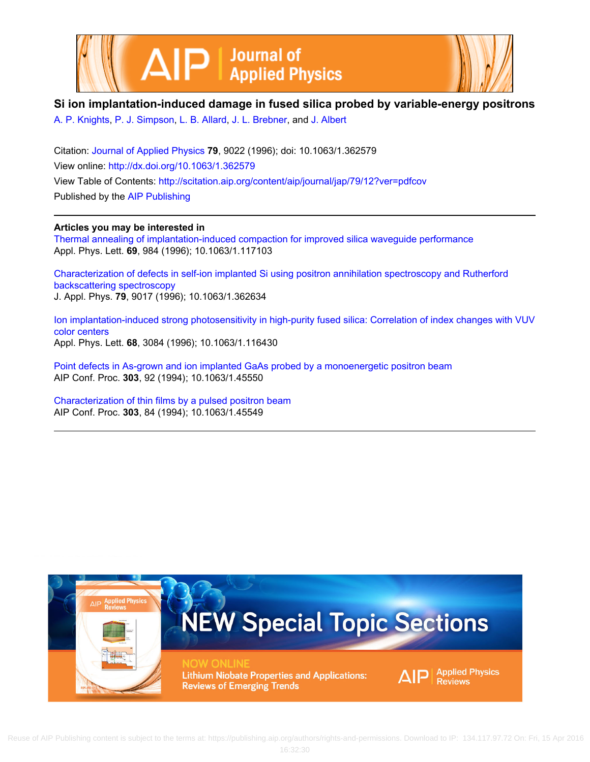



## **Si ion implantation‐induced damage in fused silica probed by variable‐energy positrons**

[A. P. Knights,](http://scitation.aip.org/search?value1=A.+P.+Knights&option1=author) [P. J. Simpson,](http://scitation.aip.org/search?value1=P.+J.+Simpson&option1=author) [L. B. Allard](http://scitation.aip.org/search?value1=L.+B.+Allard&option1=author), [J. L. Brebner](http://scitation.aip.org/search?value1=J.+L.+Brebner&option1=author), and [J. Albert](http://scitation.aip.org/search?value1=J.+Albert&option1=author)

Citation: [Journal of Applied Physics](http://scitation.aip.org/content/aip/journal/jap?ver=pdfcov) **79**, 9022 (1996); doi: 10.1063/1.362579 View online: <http://dx.doi.org/10.1063/1.362579> View Table of Contents: <http://scitation.aip.org/content/aip/journal/jap/79/12?ver=pdfcov> Published by the [AIP Publishing](http://scitation.aip.org/content/aip?ver=pdfcov)

## **Articles you may be interested in**

[Thermal annealing of implantation‐induced compaction for improved silica waveguide performance](http://scitation.aip.org/content/aip/journal/apl/69/7/10.1063/1.117103?ver=pdfcov) Appl. Phys. Lett. **69**, 984 (1996); 10.1063/1.117103

[Characterization of defects in self‐ion implanted Si using positron annihilation spectroscopy and Rutherford](http://scitation.aip.org/content/aip/journal/jap/79/12/10.1063/1.362634?ver=pdfcov) [backscattering spectroscopy](http://scitation.aip.org/content/aip/journal/jap/79/12/10.1063/1.362634?ver=pdfcov) J. Appl. Phys. **79**, 9017 (1996); 10.1063/1.362634

Ion implantation-induced strong photosensitivity in high-purity fused silica: Correlation of index changes with VUV [color centers](http://scitation.aip.org/content/aip/journal/apl/68/22/10.1063/1.116430?ver=pdfcov) Appl. Phys. Lett. **68**, 3084 (1996); 10.1063/1.116430

[Point defects in As‐grown and ion implanted GaAs probed by a monoenergetic positron beam](http://scitation.aip.org/content/aip/proceeding/aipcp/10.1063/1.45550?ver=pdfcov) AIP Conf. Proc. **303**, 92 (1994); 10.1063/1.45550

[Characterization of thin films by a pulsed positron beam](http://scitation.aip.org/content/aip/proceeding/aipcp/10.1063/1.45549?ver=pdfcov) AIP Conf. Proc. **303**, 84 (1994); 10.1063/1.45549

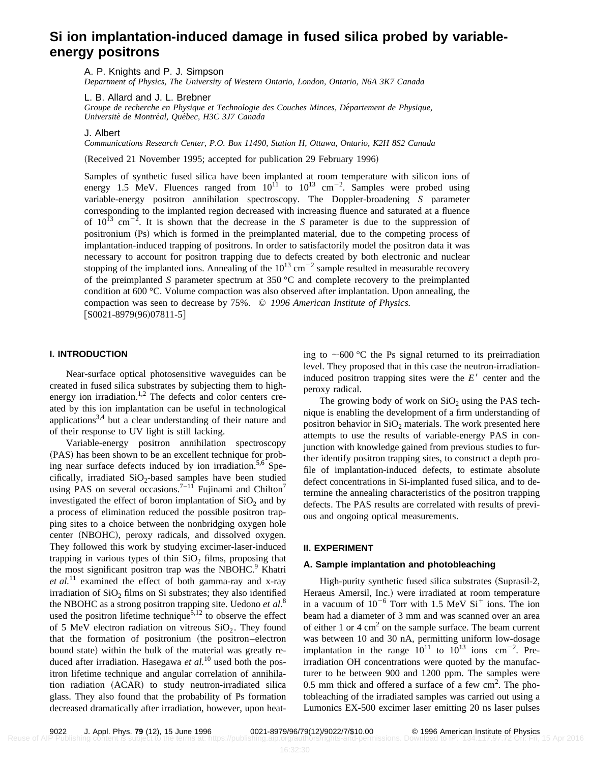# **Si ion implantation-induced damage in fused silica probed by variableenergy positrons**

A. P. Knights and P. J. Simpson

*Department of Physics, The University of Western Ontario, London, Ontario, N6A 3K7 Canada*

L. B. Allard and J. L. Brebner

Groupe de recherche en Physique et Technologie des Couches Minces, Département de Physique, *Universite´ de Montre´al, Que´bec, H3C 3J7 Canada*

J. Albert

*Communications Research Center, P.O. Box 11490, Station H, Ottawa, Ontario, K2H 8S2 Canada*

(Received 21 November 1995; accepted for publication 29 February 1996)

Samples of synthetic fused silica have been implanted at room temperature with silicon ions of energy 1.5 MeV. Fluences ranged from  $10^{11}$  to  $10^{13}$  cm<sup>-2</sup>. Samples were probed using variable-energy positron annihilation spectroscopy. The Doppler-broadening *S* parameter corresponding to the implanted region decreased with increasing fluence and saturated at a fluence of  $10^{13}$  cm<sup>-2</sup>. It is shown that the decrease in the *S* parameter is due to the suppression of positronium (Ps) which is formed in the preimplanted material, due to the competing process of implantation-induced trapping of positrons. In order to satisfactorily model the positron data it was necessary to account for positron trapping due to defects created by both electronic and nuclear stopping of the implanted ions. Annealing of the  $10^{13}$  cm<sup>-2</sup> sample resulted in measurable recovery of the preimplanted *S* parameter spectrum at 350 °C and complete recovery to the preimplanted condition at 600 °C. Volume compaction was also observed after implantation. Upon annealing, the compaction was seen to decrease by 75%. © *1996 American Institute of Physics.*  $[50021-8979(96)07811-5]$ 

## **I. INTRODUCTION**

Near-surface optical photosensitive waveguides can be created in fused silica substrates by subjecting them to highenergy ion irradiation.<sup>1,2</sup> The defects and color centers created by this ion implantation can be useful in technological applications<sup>3,4</sup> but a clear understanding of their nature and of their response to UV light is still lacking.

Variable-energy positron annihilation spectroscopy (PAS) has been shown to be an excellent technique for probing near surface defects induced by ion irradiation.<sup>5,6</sup> Specifically, irradiated  $SiO<sub>2</sub>$ -based samples have been studied using PAS on several occasions.<sup>7–11</sup> Fujinami and Chilton<sup>7</sup> investigated the effect of boron implantation of  $SiO<sub>2</sub>$  and by a process of elimination reduced the possible positron trapping sites to a choice between the nonbridging oxygen hole center (NBOHC), peroxy radicals, and dissolved oxygen. They followed this work by studying excimer-laser-induced trapping in various types of thin  $SiO<sub>2</sub>$  films, proposing that the most significant positron trap was the NBOHC.<sup>9</sup> Khatri *et al.*<sup>11</sup> examined the effect of both gamma-ray and x-ray irradiation of  $SiO<sub>2</sub>$  films on Si substrates; they also identified the NBOHC as a strong positron trapping site. Uedono *et al.*<sup>8</sup> used the positron lifetime technique<sup>5,12</sup> to observe the effect of 5 MeV electron radiation on vitreous  $SiO<sub>2</sub>$ . They found that the formation of positronium (the positron–electron bound state) within the bulk of the material was greatly reduced after irradiation. Hasegawa *et al.*<sup>10</sup> used both the positron lifetime technique and angular correlation of annihilation radiation (ACAR) to study neutron-irradiated silica glass. They also found that the probability of Ps formation decreased dramatically after irradiation, however, upon heating to  $\sim$  600 °C the Ps signal returned to its preirradiation level. They proposed that in this case the neutron-irradiationinduced positron trapping sites were the  $E<sup>′</sup>$  center and the peroxy radical.

The growing body of work on  $SiO<sub>2</sub>$  using the PAS technique is enabling the development of a firm understanding of positron behavior in  $SiO<sub>2</sub>$  materials. The work presented here attempts to use the results of variable-energy PAS in conjunction with knowledge gained from previous studies to further identify positron trapping sites, to construct a depth profile of implantation-induced defects, to estimate absolute defect concentrations in Si-implanted fused silica, and to determine the annealing characteristics of the positron trapping defects. The PAS results are correlated with results of previous and ongoing optical measurements.

#### **II. EXPERIMENT**

#### **A. Sample implantation and photobleaching**

High-purity synthetic fused silica substrates (Suprasil-2, Heraeus Amersil, Inc.) were irradiated at room temperature in a vacuum of  $10^{-6}$  Torr with 1.5 MeV  $Si<sup>+</sup>$  ions. The ion beam had a diameter of 3 mm and was scanned over an area of either 1 or 4  $\text{cm}^2$  on the sample surface. The beam current was between 10 and 30 nA, permitting uniform low-dosage implantation in the range  $10^{11}$  to  $10^{13}$  ions cm<sup>-2</sup>. Preirradiation OH concentrations were quoted by the manufacturer to be between 900 and 1200 ppm. The samples were  $0.5$  mm thick and offered a surface of a few cm<sup>2</sup>. The photobleaching of the irradiated samples was carried out using a Lumonics EX-500 excimer laser emitting 20 ns laser pulses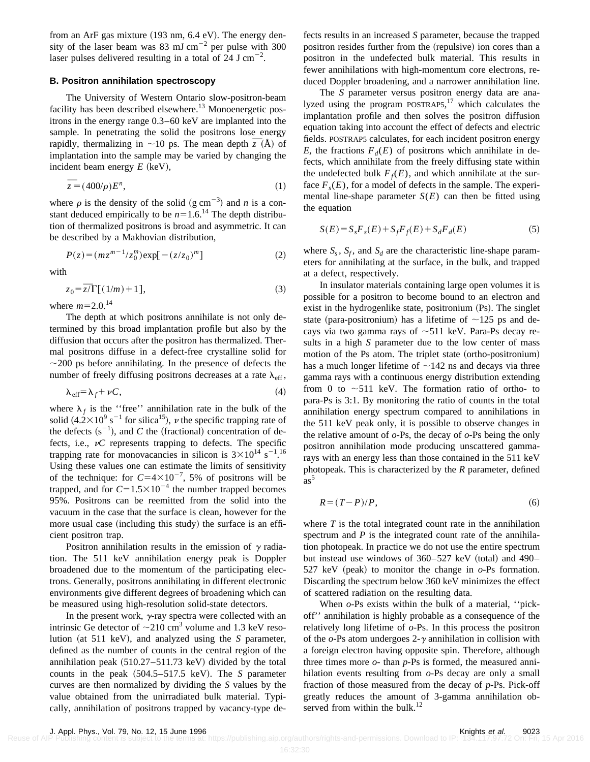from an ArF gas mixture  $(193 \text{ nm}, 6.4 \text{ eV})$ . The energy density of the laser beam was 83 mJ cm<sup>-2</sup> per pulse with 300 laser pulses delivered resulting in a total of  $24$  J cm<sup>-2</sup>.

## **B. Positron annihilation spectroscopy**

The University of Western Ontario slow-positron-beam facility has been described elsewhere.<sup>13</sup> Monoenergetic positrons in the energy range 0.3–60 keV are implanted into the sample. In penetrating the solid the positrons lose energy sample. In penetrating the solid the positrons lose energy<br>rapidly, thermalizing in  $\sim$ 10 ps. The mean depth  $\overline{z}$  (Å) of implantation into the sample may be varied by changing the incident beam energy  $E$  (keV),

$$
\overline{z} = (400/\rho)E^n,\tag{1}
$$

where  $\rho$  is the density of the solid (g cm<sup>-3</sup>) and *n* is a constant deduced empirically to be  $n=1.6$ .<sup>14</sup> The depth distribution of thermalized positrons is broad and asymmetric. It can be described by a Makhovian distribution,

$$
P(z) = (mz^{m-1}/z_0^m) \exp[-(z/z_0)^m]
$$
 (2)

with

$$
z_0 = \overline{z} \overline{I} \left[ (1/m) + 1 \right],\tag{3}
$$

where  $m=2.0$ .<sup>14</sup>

The depth at which positrons annihilate is not only determined by this broad implantation profile but also by the diffusion that occurs after the positron has thermalized. Thermal positrons diffuse in a defect-free crystalline solid for  $\sim$ 200 ps before annihilating. In the presence of defects the number of freely diffusing positrons decreases at a rate  $\lambda_{\text{eff}}$ ,

$$
\lambda_{\text{eff}} = \lambda_f + \nu C, \tag{4}
$$

where  $\lambda_f$  is the "free" annihilation rate in the bulk of the solid  $(4.2\times10^9 \text{ s}^{-1}$  for silica<sup>15</sup>),  $\nu$  the specific trapping rate of the defects  $(s^{-1})$ , and *C* the (fractional) concentration of defects, i.e.,  $\nu C$  represents trapping to defects. The specific trapping rate for monovacancies in silicon is  $3 \times 10^{14}$  s<sup>-1.16</sup> Using these values one can estimate the limits of sensitivity of the technique: for  $C=4\times10^{-7}$ , 5% of positrons will be trapped, and for  $C=1.5\times10^{-4}$  the number trapped becomes 95%. Positrons can be reemitted from the solid into the vacuum in the case that the surface is clean, however for the more usual case (including this study) the surface is an efficient positron trap.

Positron annihilation results in the emission of  $\gamma$  radiation. The 511 keV annihilation energy peak is Doppler broadened due to the momentum of the participating electrons. Generally, positrons annihilating in different electronic environments give different degrees of broadening which can be measured using high-resolution solid-state detectors.

In the present work,  $\gamma$ -ray spectra were collected with an intrinsic Ge detector of  $\sim$ 210 cm<sup>3</sup> volume and 1.3 keV resolution (at 511 keV), and analyzed using the  $S$  parameter, defined as the number of counts in the central region of the annihilation peak  $(510.27-511.73 \text{ keV})$  divided by the total counts in the peak  $(504.5–517.5 \text{ keV})$ . The *S* parameter curves are then normalized by dividing the *S* values by the value obtained from the unirradiated bulk material. Typically, annihilation of positrons trapped by vacancy-type defects results in an increased *S* parameter, because the trapped positron resides further from the (repulsive) ion cores than a positron in the undefected bulk material. This results in fewer annihilations with high-momentum core electrons, reduced Doppler broadening, and a narrower annihilation line.

The *S* parameter versus positron energy data are analyzed using the program POSTRAP5,<sup>17</sup> which calculates the implantation profile and then solves the positron diffusion equation taking into account the effect of defects and electric fields. POSTRAP5 calculates, for each incident positron energy *E*, the fractions  $F_d(E)$  of positrons which annihilate in defects, which annihilate from the freely diffusing state within the undefected bulk  $F_f(E)$ , and which annihilate at the surface  $F_s(E)$ , for a model of defects in the sample. The experimental line-shape parameter  $S(E)$  can then be fitted using the equation

$$
S(E) = S_s F_s(E) + S_f F_f(E) + S_d F_d(E)
$$
\n(5)

where  $S_s$ ,  $S_f$ , and  $S_d$  are the characteristic line-shape parameters for annihilating at the surface, in the bulk, and trapped at a defect, respectively.

In insulator materials containing large open volumes it is possible for a positron to become bound to an electron and exist in the hydrogenlike state, positronium (Ps). The singlet state (para-positronium) has a lifetime of  $\sim$ 125 ps and decays via two gamma rays of  $\sim$ 511 keV. Para-Ps decay results in a high *S* parameter due to the low center of mass motion of the Ps atom. The triplet state (ortho-positronium) has a much longer lifetime of  $\sim$ 142 ns and decays via three gamma rays with a continuous energy distribution extending from 0 to  $\sim$ 511 keV. The formation ratio of ortho- to para-Ps is 3:1. By monitoring the ratio of counts in the total annihilation energy spectrum compared to annihilations in the 511 keV peak only, it is possible to observe changes in the relative amount of *o*-Ps, the decay of *o*-Ps being the only positron annihilation mode producing unscattered gammarays with an energy less than those contained in the 511 keV photopeak. This is characterized by the *R* parameter, defined  $as^5$ 

$$
R = (T - P)/P, \tag{6}
$$

where  $T$  is the total integrated count rate in the annihilation spectrum and *P* is the integrated count rate of the annihilation photopeak. In practice we do not use the entire spectrum but instead use windows of  $360-527$  keV (total) and 490– 527 keV (peak) to monitor the change in  $o-Ps$  formation. Discarding the spectrum below 360 keV minimizes the effect of scattered radiation on the resulting data.

When *o*-Ps exists within the bulk of a material, ''pickoff'' annihilation is highly probable as a consequence of the relatively long lifetime of *o*-Ps. In this process the positron of the  $o$ -Ps atom undergoes  $2-\gamma$  annihilation in collision with a foreign electron having opposite spin. Therefore, although three times more *o*- than *p*-Ps is formed, the measured annihilation events resulting from *o*-Ps decay are only a small fraction of those measured from the decay of *p*-Ps. Pick-off greatly reduces the amount of 3-gamma annihilation observed from within the bulk. $^{12}$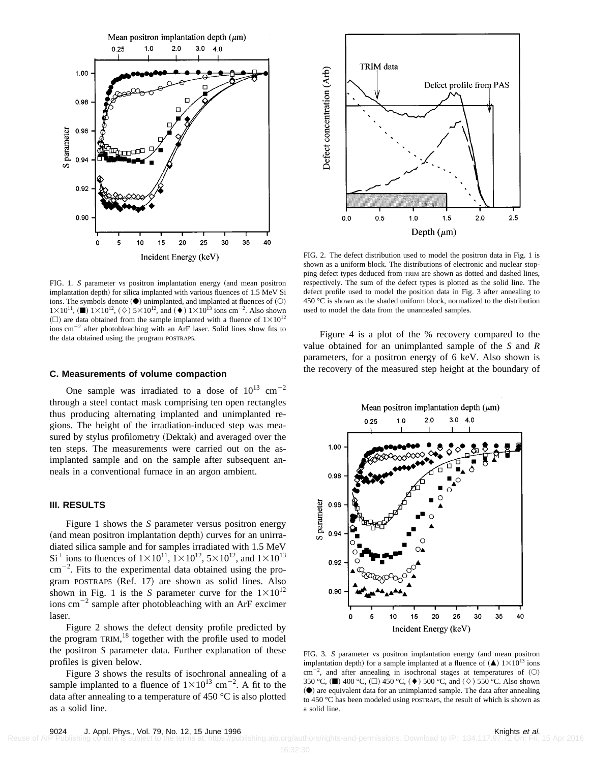

**TRIM** data Defect concentration (Arb) Defect profile from PAS  $2.0$  $2.5$  $0.0$  $0.5$  $1.0$  $1.5$ Depth  $(\mu m)$ 

FIG. 2. The defect distribution used to model the positron data in Fig. 1 is shown as a uniform block. The distributions of electronic and nuclear stopping defect types deduced from TRIM are shown as dotted and dashed lines, respectively. The sum of the defect types is plotted as the solid line. The defect profile used to model the position data in Fig. 3 after annealing to 450 °C is shown as the shaded uniform block, normalized to the distribution used to model the data from the unannealed samples.

FIG. 1. *S* parameter vs positron implantation energy (and mean positron implantation depth) for silica implanted with various fluences of 1.5 MeV Si ions. The symbols denote  $(①)$  unimplanted, and implanted at fluences of  $(①)$  $1 \times 10^{11}$ , ( $\blacksquare$ )  $1 \times 10^{12}$ , ( $\diamond$ )  $5 \times 10^{12}$ , and ( $\blacklozenge$ )  $1 \times 10^{13}$  ions cm<sup>-2</sup>. Also shown  $(\Box)$  are data obtained from the sample implanted with a fluence of  $1\times10^{12}$ ions  $cm^{-2}$  after photobleaching with an ArF laser. Solid lines show fits to the data obtained using the program POSTRAP5.

#### **C. Measurements of volume compaction**

One sample was irradiated to a dose of  $10^{13}$  cm<sup>-2</sup> through a steel contact mask comprising ten open rectangles thus producing alternating implanted and unimplanted regions. The height of the irradiation-induced step was measured by stylus profilometry (Dektak) and averaged over the ten steps. The measurements were carried out on the asimplanted sample and on the sample after subsequent anneals in a conventional furnace in an argon ambient.

## **III. RESULTS**

Figure 1 shows the *S* parameter versus positron energy (and mean positron implantation depth) curves for an unirradiated silica sample and for samples irradiated with 1.5 MeV  $Si<sup>+</sup>$  ions to fluences of  $1\times10^{11}$ ,  $1\times10^{12}$ ,  $5\times10^{12}$ , and  $1\times10^{13}$  $\text{cm}^{-2}$ . Fits to the experimental data obtained using the program POSTRAP5  $(Ref. 17)$  are shown as solid lines. Also shown in Fig. 1 is the *S* parameter curve for the  $1 \times 10^{12}$ ions  $\text{cm}^{-2}$  sample after photobleaching with an ArF excimer laser.

Figure 2 shows the defect density profile predicted by the program TRIM,<sup>18</sup> together with the profile used to model the positron *S* parameter data. Further explanation of these profiles is given below.

Figure 3 shows the results of isochronal annealing of a sample implanted to a fluence of  $1 \times 10^{13}$  cm<sup>-2</sup>. A fit to the data after annealing to a temperature of 450 °C is also plotted as a solid line.

Figure 4 is a plot of the % recovery compared to the value obtained for an unimplanted sample of the *S* and *R* parameters, for a positron energy of 6 keV. Also shown is the recovery of the measured step height at the boundary of



FIG. 3. *S* parameter vs positron implantation energy (and mean positron implantation depth) for a sample implanted at a fluence of  $(\triangle)$  1×10<sup>13</sup> ions  $\text{cm}^{-2}$ , and after annealing in isochronal stages at temperatures of (O) 350 °C,  $(\blacksquare)$  400 °C,  $(\square)$  450 °C,  $(\blacklozenge)$  500 °C, and  $(\Diamond)$  550 °C. Also shown  $(•)$  are equivalent data for an unimplanted sample. The data after annealing to 450 °C has been modeled using POSTRAP5, the result of which is shown as a solid line.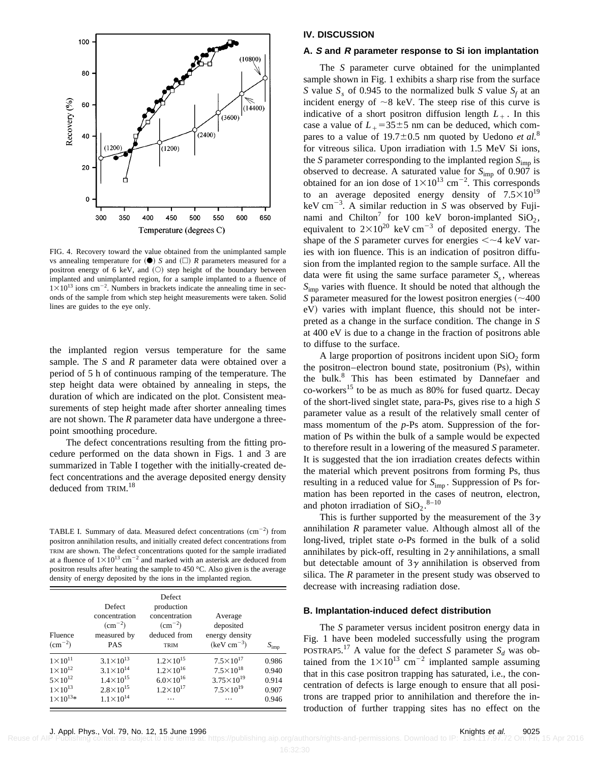

FIG. 4. Recovery toward the value obtained from the unimplanted sample vs annealing temperature for  $(\bullet)$  *S* and  $(\square)$  *R* parameters measured for a positron energy of 6 keV, and  $(O)$  step height of the boundary between implanted and unimplanted region, for a sample implanted to a fluence of  $1 \times 10^{13}$  ions cm<sup>-2</sup>. Numbers in brackets indicate the annealing time in seconds of the sample from which step height measurements were taken. Solid lines are guides to the eye only.

the implanted region versus temperature for the same sample. The *S* and *R* parameter data were obtained over a period of 5 h of continuous ramping of the temperature. The step height data were obtained by annealing in steps, the duration of which are indicated on the plot. Consistent measurements of step height made after shorter annealing times are not shown. The *R* parameter data have undergone a threepoint smoothing procedure.

The defect concentrations resulting from the fitting procedure performed on the data shown in Figs. 1 and 3 are summarized in Table I together with the initially-created defect concentrations and the average deposited energy density deduced from TRIM. 18

TABLE I. Summary of data. Measured defect concentrations  $\rm (cm^{-2})$  from positron annihilation results, and initially created defect concentrations from TRIM are shown. The defect concentrations quoted for the sample irradiated at a fluence of  $1\times10^{13}$  cm<sup>-2</sup> and marked with an asterisk are deduced from positron results after heating the sample to 450 °C. Also given is the average density of energy deposited by the ions in the implanted region.

| Fluence<br>$\rm (cm^{-2})$ | Defect<br>concentration<br>$\rm (cm^{-2})$<br>measured by<br><b>PAS</b> | Defect<br>production<br>concentration<br>$\rm (cm^{-2})$<br>deduced from<br><b>TRIM</b> | Average<br>deposited<br>energy density<br>$(keV cm-3)$ | $S_{\text{imp}}$ |
|----------------------------|-------------------------------------------------------------------------|-----------------------------------------------------------------------------------------|--------------------------------------------------------|------------------|
| $1 \times 10^{11}$         | $3.1 \times 10^{13}$                                                    | $1.2 \times 10^{15}$                                                                    | $7.5 \times 10^{17}$                                   | 0.986            |
| $1 \times 10^{12}$         | $3.1 \times 10^{14}$                                                    | $1.2 \times 10^{16}$                                                                    | $7.5 \times 10^{18}$                                   | 0.940            |
| $5 \times 10^{12}$         | $1.4 \times 10^{15}$                                                    | $6.0 \times 10^{16}$                                                                    | $3.75 \times 10^{19}$                                  | 0.914            |
| $1 \times 10^{13}$         | $2.8 \times 10^{15}$                                                    | $1.2 \times 10^{17}$                                                                    | $7.5 \times 10^{19}$                                   | 0.907            |
| $1 \times 10^{13*}$        | $1.1 \times 10^{14}$                                                    | .                                                                                       | .                                                      | 0.946            |

## **IV. DISCUSSION**

#### **A. S and R parameter response to Si ion implantation**

The *S* parameter curve obtained for the unimplanted sample shown in Fig. 1 exhibits a sharp rise from the surface *S* value  $S<sub>s</sub>$  of 0.945 to the normalized bulk *S* value  $S<sub>f</sub>$  at an incident energy of  $\sim$ 8 keV. The steep rise of this curve is indicative of a short positron diffusion length  $L_{+}$ . In this case a value of  $L_{+}$ =35 $\pm$ 5 nm can be deduced, which compares to a value of  $19.7 \pm 0.5$  nm quoted by Uedono *et al.*<sup>8</sup> for vitreous silica. Upon irradiation with 1.5 MeV Si ions, the *S* parameter corresponding to the implanted region  $S_{\text{imp}}$  is observed to decrease. A saturated value for *S*imp of 0.907 is obtained for an ion dose of  $1 \times 10^{13}$  cm<sup>-2</sup>. This corresponds to an average deposited energy density of  $7.5 \times 10^{19}$ keV cm<sup>-3</sup>. A similar reduction in *S* was observed by Fujinami and Chilton<sup>7</sup> for 100 keV boron-implanted  $SiO<sub>2</sub>$ , equivalent to  $2\times10^{20}$  keV cm<sup>-3</sup> of deposited energy. The shape of the *S* parameter curves for energies  $\langle \sim 4 \text{ keV} \rangle$  varies with ion fluence. This is an indication of positron diffusion from the implanted region to the sample surface. All the data were fit using the same surface parameter  $S_s$ , whereas *S*imp varies with fluence. It should be noted that although the *S* parameter measured for the lowest positron energies  $(\sim 400$ eV) varies with implant fluence, this should not be interpreted as a change in the surface condition. The change in *S* at 400 eV is due to a change in the fraction of positrons able to diffuse to the surface.

A large proportion of positrons incident upon  $SiO<sub>2</sub>$  form the positron–electron bound state, positronium (Ps), within the bulk.<sup>8</sup> This has been estimated by Dannefaer and  $\text{co-workers}^{15}$  to be as much as 80% for fused quartz. Decay of the short-lived singlet state, para-Ps, gives rise to a high *S* parameter value as a result of the relatively small center of mass momentum of the *p*-Ps atom. Suppression of the formation of Ps within the bulk of a sample would be expected to therefore result in a lowering of the measured *S* parameter. It is suggested that the ion irradiation creates defects within the material which prevent positrons from forming Ps, thus resulting in a reduced value for  $S_{\text{imp}}$ . Suppression of Ps formation has been reported in the cases of neutron, electron, and photon irradiation of  $SiO_2$ .<sup>8-10</sup>

This is further supported by the measurement of the  $3\gamma$ annihilation *R* parameter value. Although almost all of the long-lived, triplet state *o*-Ps formed in the bulk of a solid annihilates by pick-off, resulting in  $2\gamma$  annihilations, a small but detectable amount of  $3\gamma$  annihilation is observed from silica. The *R* parameter in the present study was observed to decrease with increasing radiation dose.

#### **B. Implantation-induced defect distribution**

The *S* parameter versus incident positron energy data in Fig. 1 have been modeled successfully using the program POSTRAP5.<sup>17</sup> A value for the defect *S* parameter  $S_d$  was obtained from the  $1\times10^{13}$  cm<sup>-2</sup> implanted sample assuming that in this case positron trapping has saturated, i.e., the concentration of defects is large enough to ensure that all positrons are trapped prior to annihilation and therefore the introduction of further trapping sites has no effect on the

Reuse of AIP Publishing content is subject to the terms at: https://publishing.aip.org/authors/rights-and-permissions. Download to IP: 134.117.97.72 On: Fri, 15 Apr 2016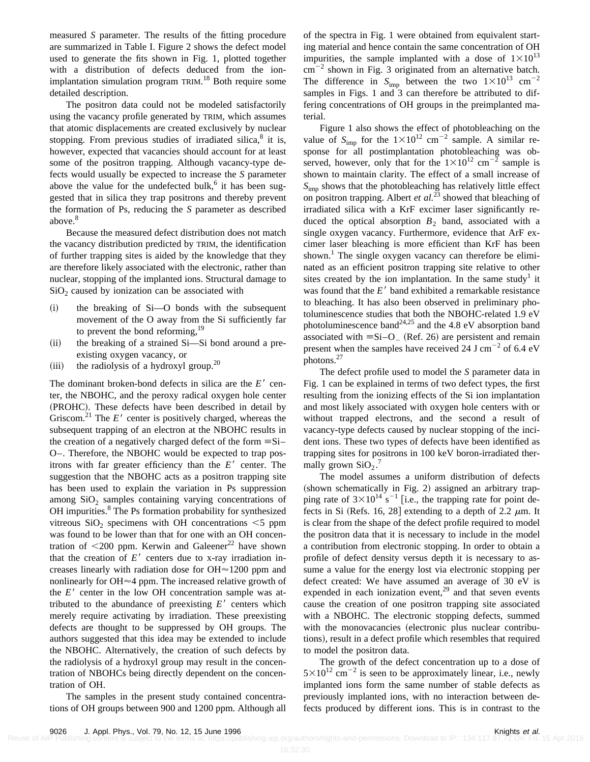measured *S* parameter. The results of the fitting procedure are summarized in Table I. Figure 2 shows the defect model used to generate the fits shown in Fig. 1, plotted together with a distribution of defects deduced from the ionimplantation simulation program TRIM.<sup>18</sup> Both require some detailed description.

The positron data could not be modeled satisfactorily using the vacancy profile generated by TRIM, which assumes that atomic displacements are created exclusively by nuclear stopping. From previous studies of irradiated silica, $\delta$  it is, however, expected that vacancies should account for at least some of the positron trapping. Although vacancy-type defects would usually be expected to increase the *S* parameter above the value for the undefected bulk, $6$  it has been suggested that in silica they trap positrons and thereby prevent the formation of Ps, reducing the *S* parameter as described above.<sup>8</sup>

Because the measured defect distribution does not match the vacancy distribution predicted by TRIM, the identification of further trapping sites is aided by the knowledge that they are therefore likely associated with the electronic, rather than nuclear, stopping of the implanted ions. Structural damage to  $SiO<sub>2</sub>$  caused by ionization can be associated with

- ~i! the breaking of Si—O bonds with the subsequent movement of the O away from the Si sufficiently far to prevent the bond reforming,  $19$
- (ii) the breaking of a strained Si-Si bond around a preexisting oxygen vacancy, or
- (iii) the radiolysis of a hydroxyl group.<sup>20</sup>

The dominant broken-bond defects in silica are the  $E'$  center, the NBOHC, and the peroxy radical oxygen hole center (PROHC). These defects have been described in detail by Griscom.<sup>21</sup> The  $E'$  center is positively charged, whereas the subsequent trapping of an electron at the NBOHC results in the creation of a negatively charged defect of the form  $\equiv$ Si– O–. Therefore, the NBOHC would be expected to trap positrons with far greater efficiency than the  $E<sup>′</sup>$  center. The suggestion that the NBOHC acts as a positron trapping site has been used to explain the variation in Ps suppression among  $SiO<sub>2</sub>$  samples containing varying concentrations of OH impurities.<sup>8</sup> The Ps formation probability for synthesized vitreous  $SiO<sub>2</sub>$  specimens with OH concentrations  $\leq$  ppm was found to be lower than that for one with an OH concentration of  $\leq 200$  ppm. Kerwin and Galeener<sup>22</sup> have shown that the creation of  $E'$  centers due to x-ray irradiation increases linearly with radiation dose for OH $\approx$ 1200 ppm and nonlinearly for OH $\approx$ 4 ppm. The increased relative growth of the  $E'$  center in the low OH concentration sample was attributed to the abundance of preexisting  $E'$  centers which merely require activating by irradiation. These preexisting defects are thought to be suppressed by OH groups. The authors suggested that this idea may be extended to include the NBOHC. Alternatively, the creation of such defects by the radiolysis of a hydroxyl group may result in the concentration of NBOHCs being directly dependent on the concentration of OH.

The samples in the present study contained concentrations of OH groups between 900 and 1200 ppm. Although all of the spectra in Fig. 1 were obtained from equivalent starting material and hence contain the same concentration of OH impurities, the sample implanted with a dose of  $1\times10^{13}$  $\text{cm}^{-2}$  shown in Fig. 3 originated from an alternative batch. The difference in  $S_{\text{imp}}$  between the two  $1\times10^{13}$  cm<sup>-2</sup> samples in Figs. 1 and 3 can therefore be attributed to differing concentrations of OH groups in the preimplanted material.

Figure 1 also shows the effect of photobleaching on the value of  $S_{\text{imp}}$  for the  $1 \times 10^{12}$  cm<sup>-2</sup> sample. A similar response for all postimplantation photobleaching was observed, however, only that for the  $1\times10^{12}$  cm<sup>-2</sup> sample is shown to maintain clarity. The effect of a small increase of *S*imp shows that the photobleaching has relatively little effect on positron trapping. Albert *et al.*<sup>23</sup> showed that bleaching of irradiated silica with a KrF excimer laser significantly reduced the optical absorption  $B_2$  band, associated with a single oxygen vacancy. Furthermore, evidence that ArF excimer laser bleaching is more efficient than KrF has been shown.<sup>1</sup> The single oxygen vacancy can therefore be eliminated as an efficient positron trapping site relative to other sites created by the ion implantation. In the same study<sup>1</sup> it was found that the  $E'$  band exhibited a remarkable resistance to bleaching. It has also been observed in preliminary photoluminescence studies that both the NBOHC-related 1.9 eV photoluminescence band<sup>24,25</sup> and the 4.8 eV absorption band associated with  $\equiv$ Si–O<sub>-</sub> (Ref. 26) are persistent and remain present when the samples have received 24 J cm<sup>-2</sup> of 6.4 eV photons.27

The defect profile used to model the *S* parameter data in Fig. 1 can be explained in terms of two defect types, the first resulting from the ionizing effects of the Si ion implantation and most likely associated with oxygen hole centers with or without trapped electrons, and the second a result of vacancy-type defects caused by nuclear stopping of the incident ions. These two types of defects have been identified as trapping sites for positrons in 100 keV boron-irradiated thermally grown  $SiO_2$ .<sup>7</sup>

The model assumes a uniform distribution of defects (shown schematically in Fig. 2) assigned an arbitrary trapping rate of  $3\times10^{14}$  s<sup>-1</sup> [i.e., the trapping rate for point defects in Si (Refs. 16, 28] extending to a depth of 2.2  $\mu$ m. It is clear from the shape of the defect profile required to model the positron data that it is necessary to include in the model a contribution from electronic stopping. In order to obtain a profile of defect density versus depth it is necessary to assume a value for the energy lost via electronic stopping per defect created: We have assumed an average of 30 eV is expended in each ionization event, $29$  and that seven events cause the creation of one positron trapping site associated with a NBOHC. The electronic stopping defects, summed with the monovacancies (electronic plus nuclear contributions), result in a defect profile which resembles that required to model the positron data.

The growth of the defect concentration up to a dose of  $5\times10^{12}$  cm<sup>-2</sup> is seen to be approximately linear, i.e., newly implanted ions form the same number of stable defects as previously implanted ions, with no interaction between defects produced by different ions. This is in contrast to the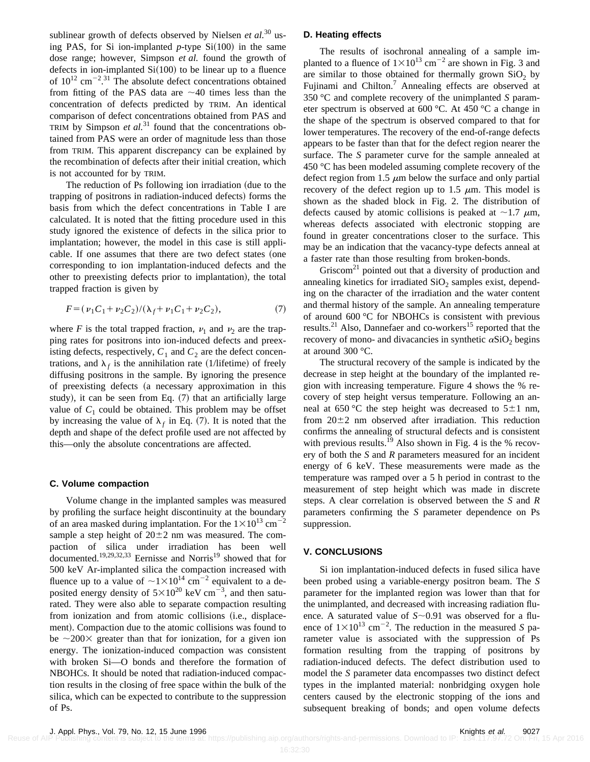sublinear growth of defects observed by Nielsen *et al.*<sup>30</sup> using PAS, for Si ion-implanted  $p$ -type Si $(100)$  in the same dose range; however, Simpson *et al.* found the growth of defects in ion-implanted  $Si(100)$  to be linear up to a fluence of  $10^{12}$  cm<sup>-2,31</sup> The absolute defect concentrations obtained from fitting of the PAS data are  $\sim$  40 times less than the concentration of defects predicted by TRIM. An identical comparison of defect concentrations obtained from PAS and TRIM by Simpson *et al.*<sup>31</sup> found that the concentrations obtained from PAS were an order of magnitude less than those from TRIM. This apparent discrepancy can be explained by the recombination of defects after their initial creation, which is not accounted for by TRIM.

The reduction of Ps following ion irradiation (due to the trapping of positrons in radiation-induced defects) forms the basis from which the defect concentrations in Table I are calculated. It is noted that the fitting procedure used in this study ignored the existence of defects in the silica prior to implantation; however, the model in this case is still applicable. If one assumes that there are two defect states (one corresponding to ion implantation-induced defects and the other to preexisting defects prior to implantation), the total trapped fraction is given by

$$
F = (\nu_1 C_1 + \nu_2 C_2) / (\lambda_f + \nu_1 C_1 + \nu_2 C_2),
$$
\n(7)

where *F* is the total trapped fraction,  $\nu_1$  and  $\nu_2$  are the trapping rates for positrons into ion-induced defects and preexisting defects, respectively,  $C_1$  and  $C_2$  are the defect concentrations, and  $\lambda_f$  is the annihilation rate (1/lifetime) of freely diffusing positrons in the sample. By ignoring the presence of preexisting defects (a necessary approximation in this study), it can be seen from Eq.  $(7)$  that an artificially large value of  $C_1$  could be obtained. This problem may be offset by increasing the value of  $\lambda_f$  in Eq. (7). It is noted that the depth and shape of the defect profile used are not affected by this—only the absolute concentrations are affected.

#### **C. Volume compaction**

Volume change in the implanted samples was measured by profiling the surface height discontinuity at the boundary of an area masked during implantation. For the  $1\times10^{13}$  cm<sup>-2</sup> sample a step height of  $20\pm2$  nm was measured. The compaction of silica under irradiation has been well documented.<sup>19,29,32,33</sup> Eernisse and Norris<sup>19</sup> showed that for 500 keV Ar-implanted silica the compaction increased with fluence up to a value of  $\sim$ 1 $\times$ 10<sup>14</sup> cm<sup>-2</sup> equivalent to a deposited energy density of  $5 \times 10^{20}$  keV cm<sup>-3</sup>, and then saturated. They were also able to separate compaction resulting from ionization and from atomic collisions (i.e., displacement). Compaction due to the atomic collisions was found to be  $\sim$ 200 $\times$  greater than that for ionization, for a given ion energy. The ionization-induced compaction was consistent with broken Si—O bonds and therefore the formation of NBOHCs. It should be noted that radiation-induced compaction results in the closing of free space within the bulk of the silica, which can be expected to contribute to the suppression of Ps.

#### **D. Heating effects**

The results of isochronal annealing of a sample implanted to a fluence of  $1\times10^{13}$  cm<sup>-2</sup> are shown in Fig. 3 and are similar to those obtained for thermally grown  $SiO<sub>2</sub>$  by Fujinami and Chilton.<sup>7</sup> Annealing effects are observed at 350 °C and complete recovery of the unimplanted *S* parameter spectrum is observed at 600 °C. At 450 °C a change in the shape of the spectrum is observed compared to that for lower temperatures. The recovery of the end-of-range defects appears to be faster than that for the defect region nearer the surface. The *S* parameter curve for the sample annealed at 450 °C has been modeled assuming complete recovery of the defect region from 1.5  $\mu$ m below the surface and only partial recovery of the defect region up to 1.5  $\mu$ m. This model is shown as the shaded block in Fig. 2. The distribution of defects caused by atomic collisions is peaked at  $\sim$ 1.7  $\mu$ m, whereas defects associated with electronic stopping are found in greater concentrations closer to the surface. This may be an indication that the vacancy-type defects anneal at a faster rate than those resulting from broken-bonds.

Griscom<sup>21</sup> pointed out that a diversity of production and annealing kinetics for irradiated  $SiO<sub>2</sub>$  samples exist, depending on the character of the irradiation and the water content and thermal history of the sample. An annealing temperature of around 600 °C for NBOHCs is consistent with previous results. $^{21}$  Also, Dannefaer and co-workers<sup>15</sup> reported that the recovery of mono- and divacancies in synthetic  $\alpha$ SiO<sub>2</sub> begins at around 300 °C.

The structural recovery of the sample is indicated by the decrease in step height at the boundary of the implanted region with increasing temperature. Figure 4 shows the % recovery of step height versus temperature. Following an anneal at 650 °C the step height was decreased to  $5\pm1$  nm, from  $20\pm2$  nm observed after irradiation. This reduction confirms the annealing of structural defects and is consistent with previous results.<sup>19</sup> Also shown in Fig. 4 is the % recovery of both the *S* and *R* parameters measured for an incident energy of 6 keV. These measurements were made as the temperature was ramped over a 5 h period in contrast to the measurement of step height which was made in discrete steps. A clear correlation is observed between the *S* and *R* parameters confirming the *S* parameter dependence on Ps suppression.

## **V. CONCLUSIONS**

Si ion implantation-induced defects in fused silica have been probed using a variable-energy positron beam. The *S* parameter for the implanted region was lower than that for the unimplanted, and decreased with increasing radiation fluence. A saturated value of  $S \sim 0.91$  was observed for a fluence of  $1 \times 10^{13}$  cm<sup>-2</sup>. The reduction in the measured *S* parameter value is associated with the suppression of Ps formation resulting from the trapping of positrons by radiation-induced defects. The defect distribution used to model the *S* parameter data encompasses two distinct defect types in the implanted material: nonbridging oxygen hole centers caused by the electronic stopping of the ions and subsequent breaking of bonds; and open volume defects